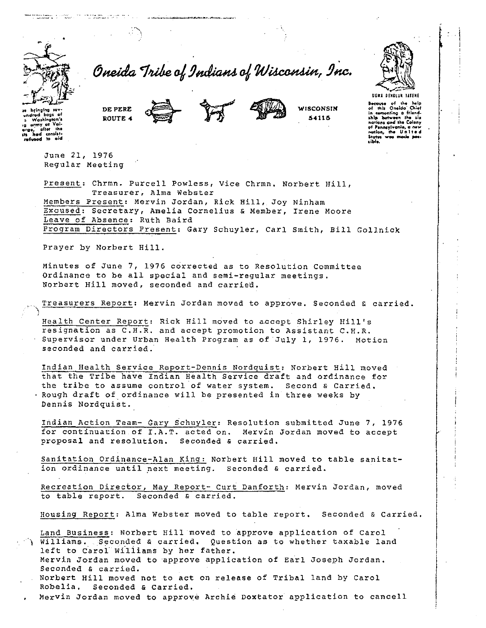

and the company of the second second second second second second second second second second second second second second second second second second second second second second second second second second second second sec

Oneida Tribe of Indians of Wisconsin, Inc.



**Because** of the help<br>of this Oneida Chief

or mix Unesso University of the computing a friend-<br>ship batween the six

of Pennsylvania, a new

.<br>Italian

**WISCONSIN** 

54115

heimn ired baat<br>Washingt  $n$ rmy of efter the a had consist<br>a had consist<br>refused to alc

> June 21, 1976 Regular Meeting

DE PERE

ROUTE 4

Present: Chrmn. Purcell Powless, Vice Chrmn, Norbert Hill, Treasurer, Alma Webster

Members Present: Mervin Jordan, Rick Hill, Joy Ninham Excused: Secretary, Amelia Cornelius & Member, Irene Moore Leave of Absence: Ruth Baird Program Directors Present: Gary Schuyler, Carl Smith, Bill Gollnick

Prayer by Norbert Hill.

Minutes of June 7, 1976 corrected as to Resolution Committee Ordinance to be all special and semi-regular meetings. Norbert Hill moved, seconded and carried.

Treasurers Report: Mervin Jordan moved to approve. Seconded & carried.

Health Center Report: Rick Hill moved to accept Shirley Hill's resignation as C.H.R. and accept promotion to Assistant C.H.R. Supervisor under Urban Health Program as of July 1, 1976. Motion seconded and carried.

Indian Health Service Report-Dennis Nordquist: Norbert Hill moved that the Tribe have Indian Health Service draft and ordinance for the tribe to assume control of water system. Second & Carried. . Rough draft of ordinance will be presented in three weeks by Dennis Nordquist.

Indian Action Team- Gary Schuyler: Resolution submitted June 7, 1976 for continuation of I.A.T. acted on. Mervin Jordan moved to accept proposal and resolution. Seconded & carried.

Sanitation Ordinance-Alan King: Norbert Hill moved to table sanitation ordinance until next meeting. Seconded & carried.

Recreation Director, May Report- Curt Danforth: Mervin Jordan, moved to table report. Seconded & carried.

Housing Report: Alma Webster moved to table report. Seconded & Carried.

Land Business: Norbert Hill moved to approve application of Carol ) Williams. Seconded & carried. Question as to whether taxable land left to Carol Williams by her father. Mervin Jordan moved to approve application of Earl Joseph Jordan.

Seconded & carried.

Norbert Hill moved not to act on release of Tribal land by Carol Robelia. Seconded & Carried.

Mervin Jordan moved to approve Archie Doxtator application to cancell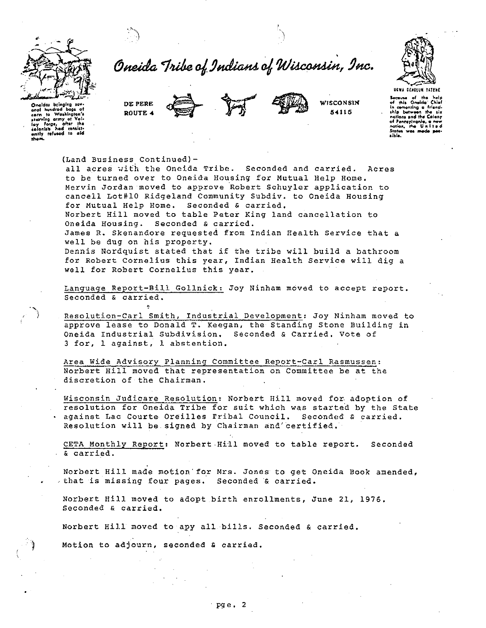

Oneida Tribe of Indians of Wisconsin, Inc.





WISCONSIN 54115



.<br>Oneidas bringing sov.<br>eral hundred begs of<br>corn to Washington's corn to Washington's<br>starving army at Volton's<br>loy Forge, after the<br>colonists<br>witly refused to ald<br>thom. .<br>Bocause of the help<br>of this Oneida Chief comenting a friend. .<br>«Nie between ship between the six<br>notions and the Colony of Pennsylvanie, a new<br>nation, the United a inte.

(Land Business Continued)-

all acres with the Oneida Tribe. Seconded and carried. Acres to be turned over to Oneida Housing for Mutual Help Home. Mervin Jordan moved to approve Robert Schuyler application to cancell Lot#10 Ridgeland Community Subdiv. to Oneida Housing for Mutual Help Home. Seconded & carried.

Norbert Hill moved to table Peter King land cancellation to Oneida Housing. Seconded & carried.

James R. Skenandore requested from Indian Health Service that a well be dug on his property.

Dennis Nordquist stated that if the tribe will build a bathroom for Robert Cornelius this year, Indian Health Service will dig a well for Robert Cornelius this year.

Language Report-Bill Gollnick: Joy Ninham moved to accept report. Seconded & carried.

Resolution-Carl Smith, Industrial Development: Joy Ninham moved to approve lease to Donald T. Keegan, the Standing Stone Building in Oneida Industrial Subdivision. Seconded & Carried. Vote of 3 for, 1 against, 1 abstention.

Area Wide Advisory Planning Committee Report-Carl Rasmussen: Norbert Hill moved that representation on Committee be at the discretion of the Chairman.

Wisconsin Judicare Resolution: Norbert Hill moved for adoption of resolution for Oneida Tribe for suit which was started by the State . against Lac Courte Oreilles Fribal Council. Seconded & carried. Resolution will be signed by Chairman and certified.

CETA Monthly Report: Norbert Hill moved to table report. Seconded & carried.

Norbert Hill made motion for Mrs. Jones to get Oneida Book amended, that is missing four pages. Seconded & carried.

Norbert Hill moved to adopt birth enrollments, June 21, 1976. Seconded & carried.

Norbert Hill moved to apy all bills. Seconded & carried.

Motion to adjourn, seconded & carried.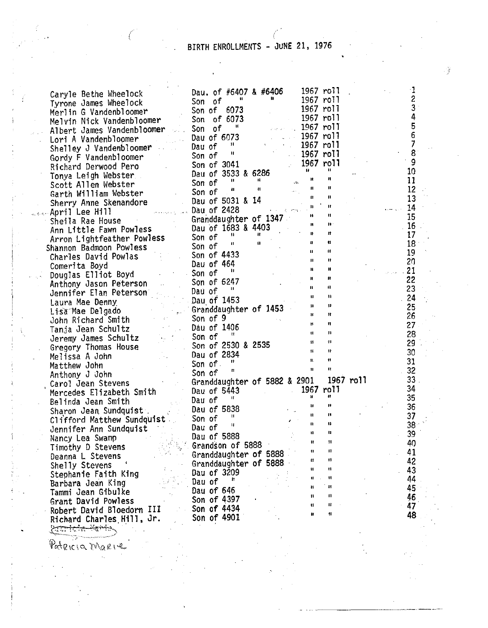## BIRTH ENROLLMENTS - JUNE 21, 1976

. ý

~--... -----. ·-----· ----·

| Caryle Bethe Wheelock<br>Norme James Wheelock<br>New Hotel School and the Same of $6407$ & $65406$<br>New Higher Vandembloomer<br>Meliculations comes and the Same of $673$<br>New Higher Vandembloomer<br>Liber Vandembloomer<br>Caryle Me |                       |  |              |              |  |
|---------------------------------------------------------------------------------------------------------------------------------------------------------------------------------------------------------------------------------------------|-----------------------|--|--------------|--------------|--|
|                                                                                                                                                                                                                                             |                       |  |              |              |  |
|                                                                                                                                                                                                                                             |                       |  |              |              |  |
|                                                                                                                                                                                                                                             |                       |  |              |              |  |
|                                                                                                                                                                                                                                             |                       |  |              |              |  |
|                                                                                                                                                                                                                                             |                       |  |              |              |  |
|                                                                                                                                                                                                                                             |                       |  |              |              |  |
|                                                                                                                                                                                                                                             |                       |  |              |              |  |
|                                                                                                                                                                                                                                             |                       |  |              |              |  |
|                                                                                                                                                                                                                                             |                       |  |              |              |  |
|                                                                                                                                                                                                                                             |                       |  |              |              |  |
|                                                                                                                                                                                                                                             |                       |  |              |              |  |
|                                                                                                                                                                                                                                             |                       |  |              |              |  |
|                                                                                                                                                                                                                                             |                       |  |              |              |  |
|                                                                                                                                                                                                                                             |                       |  |              |              |  |
|                                                                                                                                                                                                                                             |                       |  |              |              |  |
|                                                                                                                                                                                                                                             |                       |  |              |              |  |
|                                                                                                                                                                                                                                             |                       |  |              |              |  |
|                                                                                                                                                                                                                                             |                       |  |              |              |  |
|                                                                                                                                                                                                                                             |                       |  |              |              |  |
|                                                                                                                                                                                                                                             |                       |  |              |              |  |
|                                                                                                                                                                                                                                             |                       |  |              |              |  |
|                                                                                                                                                                                                                                             |                       |  |              |              |  |
|                                                                                                                                                                                                                                             |                       |  |              |              |  |
|                                                                                                                                                                                                                                             |                       |  |              |              |  |
|                                                                                                                                                                                                                                             |                       |  |              |              |  |
|                                                                                                                                                                                                                                             |                       |  |              |              |  |
|                                                                                                                                                                                                                                             |                       |  |              |              |  |
|                                                                                                                                                                                                                                             |                       |  |              |              |  |
|                                                                                                                                                                                                                                             |                       |  |              |              |  |
|                                                                                                                                                                                                                                             |                       |  |              |              |  |
|                                                                                                                                                                                                                                             |                       |  |              |              |  |
|                                                                                                                                                                                                                                             |                       |  |              |              |  |
|                                                                                                                                                                                                                                             |                       |  |              |              |  |
|                                                                                                                                                                                                                                             |                       |  |              |              |  |
|                                                                                                                                                                                                                                             |                       |  |              |              |  |
|                                                                                                                                                                                                                                             |                       |  |              |              |  |
|                                                                                                                                                                                                                                             |                       |  |              |              |  |
|                                                                                                                                                                                                                                             |                       |  |              |              |  |
|                                                                                                                                                                                                                                             |                       |  |              |              |  |
|                                                                                                                                                                                                                                             |                       |  |              |              |  |
|                                                                                                                                                                                                                                             | Grandson of 5888      |  |              |              |  |
| Timothy D Stevens                                                                                                                                                                                                                           | Granddaughter of 5888 |  | 11           | $\mathbf{u}$ |  |
| Deanna L Stevens                                                                                                                                                                                                                            | Granddaughter of 5888 |  | Ħ            | n            |  |
| Shelly Stevens                                                                                                                                                                                                                              | Dau of 3209           |  | и            | Ħ            |  |
| Stephanie Faith King                                                                                                                                                                                                                        | $\mathbf{H}$          |  | $\mathbf{u}$ | $\mathbf{H}$ |  |
| Barbara Jean King                                                                                                                                                                                                                           | Dau of                |  | 11           | $\mathbf{R}$ |  |
| Tammi Jean Gibulke                                                                                                                                                                                                                          | Dau of 646            |  | 11           | $\mathbf{u}$ |  |
| Grant David Powless                                                                                                                                                                                                                         | Son of 4397           |  | Ħ            | 11           |  |
| Robert David Bloedorn III                                                                                                                                                                                                                   | $\sim$ Son of 4434    |  | Ħ            | $\mathbf{H}$ |  |
| Richard Charles Hill, Jr.                                                                                                                                                                                                                   | Son of 4901           |  |              |              |  |
| Contain-Martin                                                                                                                                                                                                                              |                       |  |              |              |  |

 $\mathbb P_{\alpha}(R(\alpha,\gamma_{\alpha,\beta})|_{\alpha,\beta})$